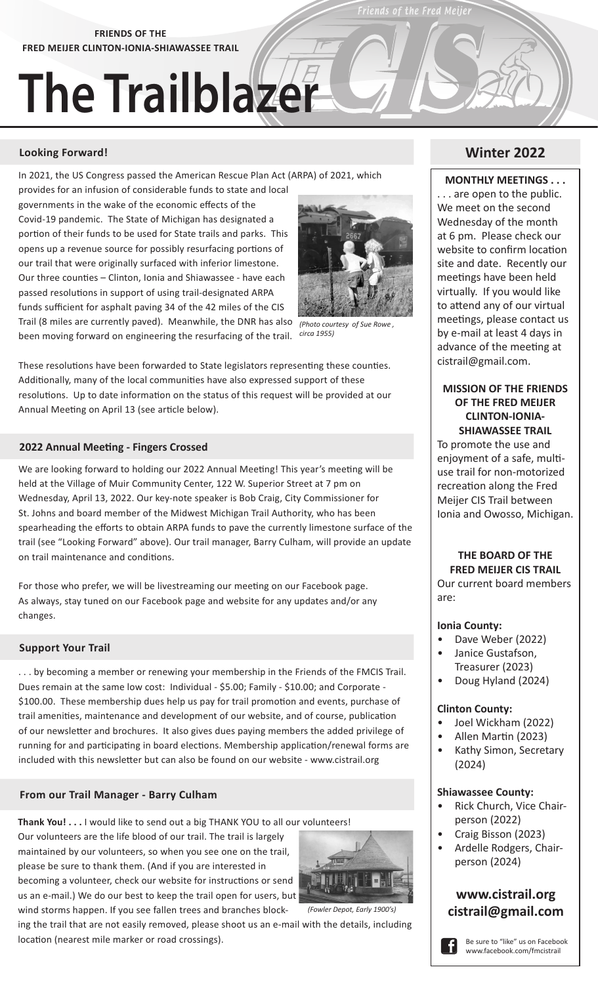**FRIENDS OF THE FRED MEIJER CLINTON-IONIA-SHIAWASSEE TRAIL**

# **The Trailblazer**

#### **Looking Forward! Winter 2022**

In 2021, the US Congress passed the American Rescue Plan Act (ARPA) of 2021, which

provides for an infusion of considerable funds to state and local governments in the wake of the economic effects of the Covid-19 pandemic. The State of Michigan has designated a portion of their funds to be used for State trails and parks. This opens up a revenue source for possibly resurfacing portions of our trail that were originally surfaced with inferior limestone. Our three counties – Clinton, Ionia and Shiawassee - have each passed resolutions in support of using trail-designated ARPA funds sufficient for asphalt paving 34 of the 42 miles of the CIS Trail (8 miles are currently paved). Meanwhile, the DNR has also been moving forward on engineering the resurfacing of the trail. *circa 1955)*



Friends of the Fred Meije

*(Photo courtesy of Sue Rowe ,* 

These resolutions have been forwarded to State legislators representing these counties. Additionally, many of the local communities have also expressed support of these resolutions. Up to date information on the status of this request will be provided at our Annual Meeting on April 13 (see article below).

#### **2022 Annual Meeting - Fingers Crossed**

We are looking forward to holding our 2022 Annual Meeting! This year's meeting will be held at the Village of Muir Community Center, 122 W. Superior Street at 7 pm on Wednesday, April 13, 2022. Our key-note speaker is Bob Craig, City Commissioner for St. Johns and board member of the Midwest Michigan Trail Authority, who has been spearheading the efforts to obtain ARPA funds to pave the currently limestone surface of the trail (see "Looking Forward" above). Our trail manager, Barry Culham, will provide an update on trail maintenance and conditions.

For those who prefer, we will be livestreaming our meeting on our Facebook page. As always, stay tuned on our Facebook page and website for any updates and/or any changes.

#### **Support Your Trail**

. . . by becoming a member or renewing your membership in the Friends of the FMCIS Trail. Dues remain at the same low cost: Individual - \$5.00; Family - \$10.00; and Corporate - \$100.00. These membership dues help us pay for trail promotion and events, purchase of trail amenities, maintenance and development of our website, and of course, publication of our newsletter and brochures. It also gives dues paying members the added privilege of running for and participating in board elections. Membership application/renewal forms are included with this newsletter but can also be found on our website - www.cistrail.org

#### **From our Trail Manager - Barry Culham**

**Thank You! . . .** I would like to send out a big THANK YOU to all our volunteers! Our volunteers are the life blood of our trail. The trail is largely maintained by our volunteers, so when you see one on the trail, please be sure to thank them. (And if you are interested in becoming a volunteer, check our website for instructions or send us an e-mail.) We do our best to keep the trail open for users, but wind storms happen. If you see fallen trees and branches block-



ing the trail that are not easily removed, please shoot us an e-mail with the details, including location (nearest mile marker or road crossings).

#### **MONTHLY MEETINGS . . .**

. . . are open to the public. We meet on the second Wednesday of the month at 6 pm. Please check our website to confirm location site and date. Recently our meetings have been held virtually. If you would like to attend any of our virtual meetings, please contact us by e-mail at least 4 days in advance of the meeting at cistrail@gmail.com.

#### **MISSION OF THE FRIENDS OF THE FRED MEIJER CLINTON-IONIA-SHIAWASSEE TRAIL**

To promote the use and enjoyment of a safe, multiuse trail for non-motorized recreation along the Fred Meijer CIS Trail between Ionia and Owosso, Michigan.

### **THE BOARD OF THE FRED MEIJER CIS TRAIL**

Our current board members are:

#### **Ionia County:**

- Dave Weber (2022)
- Janice Gustafson, Treasurer (2023)
- Doug Hyland (2024)

#### **Clinton County:**

- Joel Wickham (2022)
- Allen Martin (2023)
- Kathy Simon, Secretary (2024)

### **Shiawassee County:**

- Rick Church, Vice Chairperson (2022)
- Craig Bisson (2023)
- Ardelle Rodgers, Chairperson (2024)

## **www.cistrail.org cistrail@gmail.com**